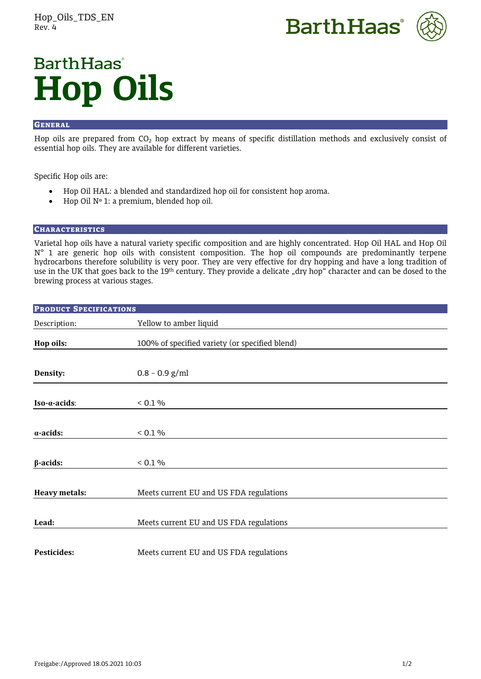



# **BarthHaas**<sup>®</sup> **Hop Oils**

# **GENERAL**

Hop oils are prepared from  $CO<sub>2</sub>$  hop extract by means of specific distillation methods and exclusively consist of essential hop oils. They are available for different varieties.

Specific Hop oils are:

- Hop Oil HAL: a blended and standardized hop oil for consistent hop aroma.
- Hop Oil Nº 1: a premium, blended hop oil.

# **CHARACTERISTICS**

Varietal hop oils have a natural variety specific composition and are highly concentrated. Hop Oil HAL and Hop Oil N° 1 are generic hop oils with consistent composition. The hop oil compounds are predominantly terpene hydrocarbons therefore solubility is very poor. They are very effective for dry hopping and have a long tradition of use in the UK that goes back to the 19<sup>th</sup> century. They provide a delicate "dry hop" character and can be dosed to the brewing process at various stages.

| <b>PRODUCT SPECIFICATIONS</b> |                                                |
|-------------------------------|------------------------------------------------|
| Description:                  | Yellow to amber liquid                         |
| Hop oils:                     | 100% of specified variety (or specified blend) |
| Density:                      | $0.8 - 0.9$ g/ml                               |
| $Iso-a\text{-}acids$ :        | < 0.1 %                                        |
| $\alpha$ -acids:              | < 0.1 %                                        |
| $\beta$ -acids:               | < 0.1 %                                        |
| <b>Heavy metals:</b>          | Meets current EU and US FDA regulations        |
| Lead:                         | Meets current EU and US FDA regulations        |
| <b>Pesticides:</b>            | Meets current EU and US FDA regulations        |